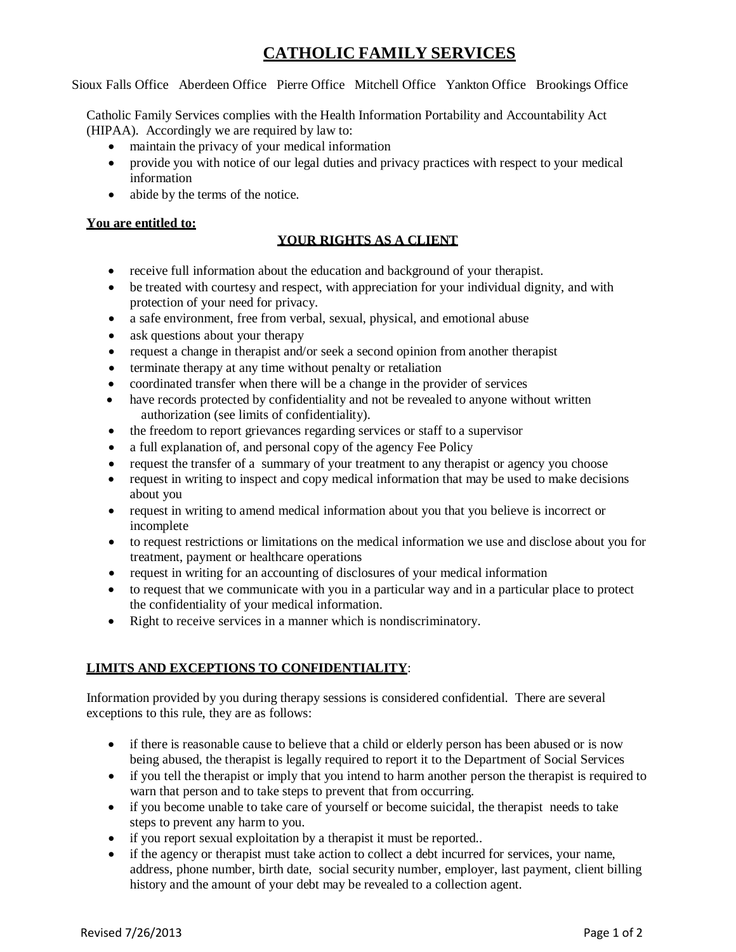# **CATHOLIC FAMILY SERVICES**

Sioux Falls Office Aberdeen Office Pierre Office Mitchell Office Yankton Office Brookings Office

Catholic Family Services complies with the Health Information Portability and Accountability Act (HIPAA). Accordingly we are required by law to:

- maintain the privacy of your medical information
- provide you with notice of our legal duties and privacy practices with respect to your medical information
- abide by the terms of the notice.

#### **You are entitled to:**

## **YOUR RIGHTS AS A CLIENT**

- receive full information about the education and background of your therapist.
- be treated with courtesy and respect, with appreciation for your individual dignity, and with protection of your need for privacy.
- a safe environment, free from verbal, sexual, physical, and emotional abuse
- ask questions about your therapy
- request a change in therapist and/or seek a second opinion from another therapist
- terminate therapy at any time without penalty or retaliation
- coordinated transfer when there will be a change in the provider of services
- have records protected by confidentiality and not be revealed to anyone without written authorization (see limits of confidentiality).
- the freedom to report grievances regarding services or staff to a supervisor
- a full explanation of, and personal copy of the agency Fee Policy
- request the transfer of a summary of your treatment to any therapist or agency you choose
- request in writing to inspect and copy medical information that may be used to make decisions about you
- request in writing to amend medical information about you that you believe is incorrect or incomplete
- to request restrictions or limitations on the medical information we use and disclose about you for treatment, payment or healthcare operations
- request in writing for an accounting of disclosures of your medical information
- to request that we communicate with you in a particular way and in a particular place to protect the confidentiality of your medical information.
- Right to receive services in a manner which is nondiscriminatory.

### **LIMITS AND EXCEPTIONS TO CONFIDENTIALITY**:

Information provided by you during therapy sessions is considered confidential. There are several exceptions to this rule, they are as follows:

- if there is reasonable cause to believe that a child or elderly person has been abused or is now being abused, the therapist is legally required to report it to the Department of Social Services
- if you tell the therapist or imply that you intend to harm another person the therapist is required to warn that person and to take steps to prevent that from occurring.
- if you become unable to take care of yourself or become suicidal, the therapist needs to take steps to prevent any harm to you.
- if you report sexual exploitation by a therapist it must be reported..
- if the agency or therapist must take action to collect a debt incurred for services, your name, address, phone number, birth date, social security number, employer, last payment, client billing history and the amount of your debt may be revealed to a collection agent.